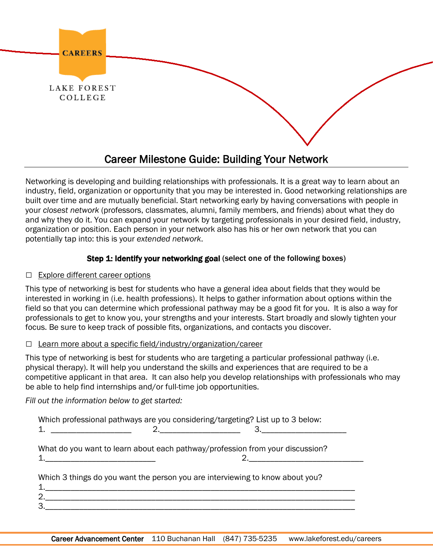

# Career Milestone Guide: Building Your Network

Networking is developing and building relationships with professionals. It is a great way to learn about an industry, field, organization or opportunity that you may be interested in. Good networking relationships are built over time and are mutually beneficial. Start networking early by having conversations with people in your *closest network* (professors, classmates, alumni, family members, and friends) about what they do and why they do it. You can expand your network by targeting professionals in your desired field, industry, organization or position. Each person in your network also has his or her own network that you can potentially tap into: this is your *extended network*.

## Step 1: Identify your networking goal (select one of the following boxes)

## □ Explore different career options

This type of networking is best for students who have a general idea about fields that they would be interested in working in (i.e. health professions). It helps to gather information about options within the field so that you can determine which professional pathway may be a good fit for you. It is also a way for professionals to get to know you, your strengths and your interests. Start broadly and slowly tighten your focus. Be sure to keep track of possible fits, organizations, and contacts you discover.

## $\Box$  Learn more about a specific field/industry/organization/career

This type of networking is best for students who are targeting a particular professional pathway (i.e. physical therapy). It will help you understand the skills and experiences that are required to be a competitive applicant in that area. It can also help you develop relationships with professionals who may be able to help find internships and/or full-time job opportunities.

*Fill out the information below to get started:*

| Which professional pathways are you considering/targeting? List up to 3 below: |  |
|--------------------------------------------------------------------------------|--|
|                                                                                |  |
| What do you want to learn about each pathway/profession from your discussion?  |  |
| Which 3 things do you want the person you are interviewing to know about you?  |  |
|                                                                                |  |
|                                                                                |  |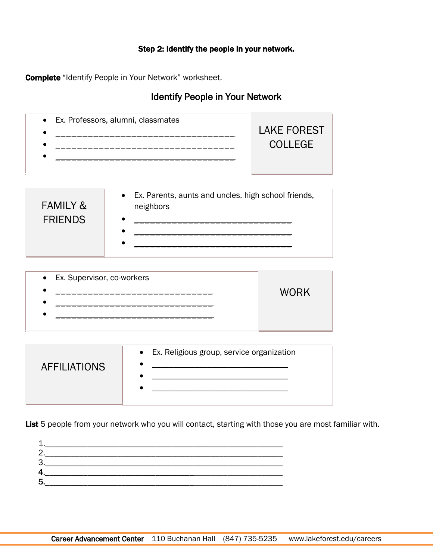## Step 2: Identify the people in your network.

Complete "Identify People in Your Network" worksheet.

ſ  $\overline{\phantom{a}}$  $\overline{\phantom{a}}$  $\overline{\phantom{a}}$  $\overline{\phantom{a}}$  $\overline{\phantom{a}}$ Ļ

Ī ŕ  $\overline{\phantom{a}}$  $\overline{\phantom{a}}$  $\overline{\phantom{a}}$  $\overline{\phantom{a}}$  $\overline{\phantom{a}}$ Į

## Identify People in Your Network

| <b>FAMILY &amp;</b> | • Ex. Parents, aunts and uncles, high school friends, |
|---------------------|-------------------------------------------------------|
| <b>FRIENDS</b>      | neighbors                                             |

| • Ex. Supervisor, co-workers |             |
|------------------------------|-------------|
|                              | <b>WORK</b> |
|                              |             |
|                              |             |
|                              |             |

| <b>AFFILIATIONS</b> | • Ex. Religious group, service organization |
|---------------------|---------------------------------------------|
|                     |                                             |

List 5 people from your network who you will contact, starting with those you are most familiar with.